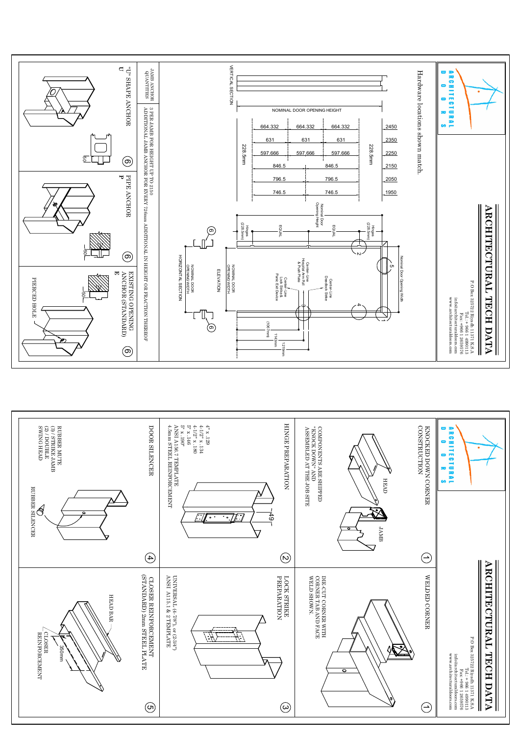